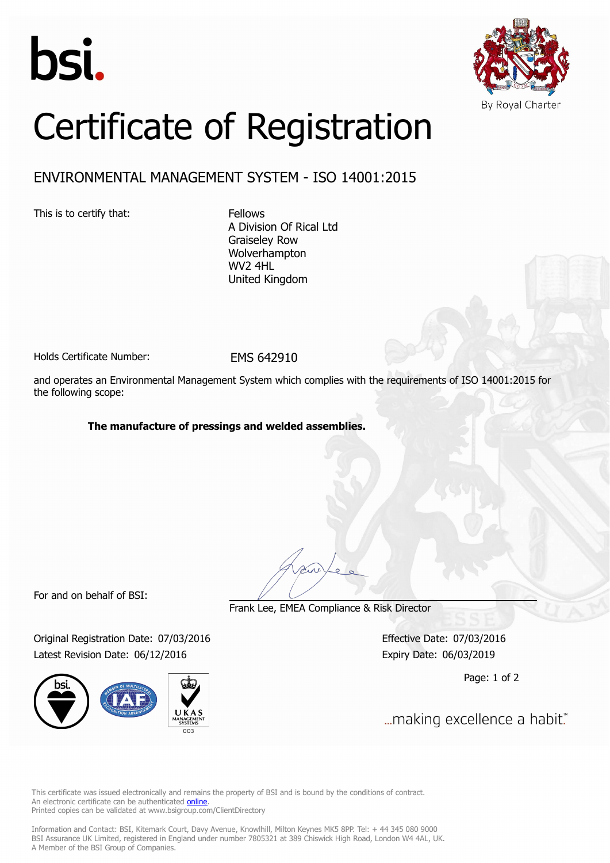



# Certificate of Registration

## ENVIRONMENTAL MANAGEMENT SYSTEM - ISO 14001:2015

This is to certify that: Fellows

A Division Of Rical Ltd Graiseley Row Wolverhampton WV2 4HL United Kingdom

Holds Certificate Number: FMS 642910

and operates an Environmental Management System which complies with the requirements of ISO 14001:2015 for the following scope:

#### **The manufacture of pressings and welded assemblies.**

For and on behalf of BSI:

Original Registration Date: 07/03/2016 Effective Date: 07/03/2016 Latest Revision Date: 06/12/2016 Expiry Date: 06/03/2019



Frank Lee, EMEA Compliance & Risk Director

Page: 1 of 2

... making excellence a habit."

This certificate was issued electronically and remains the property of BSI and is bound by the conditions of contract. An electronic certificate can be authenticated **[online](https://pgplus.bsigroup.com/CertificateValidation/CertificateValidator.aspx?CertificateNumber=EMS 642910&ReIssueDate=06/12/2016&Template=uk)**. Printed copies can be validated at www.bsigroup.com/ClientDirectory

Information and Contact: BSI, Kitemark Court, Davy Avenue, Knowlhill, Milton Keynes MK5 8PP. Tel: + 44 345 080 9000 BSI Assurance UK Limited, registered in England under number 7805321 at 389 Chiswick High Road, London W4 4AL, UK. A Member of the BSI Group of Companies.